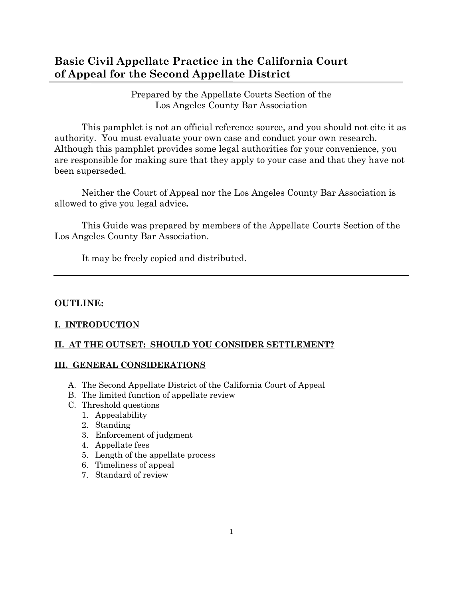# **Basic Civil Appellate Practice in the California Court of Appeal for the Second Appellate District**

Prepared by the Appellate Courts Section of the Los Angeles County Bar Association

This pamphlet is not an official reference source, and you should not cite it as authority. You must evaluate your own case and conduct your own research. Although this pamphlet provides some legal authorities for your convenience, you are responsible for making sure that they apply to your case and that they have not been superseded.

Neither the Court of Appeal nor the Los Angeles County Bar Association is allowed to give you legal advice**.**

This Guide was prepared by members of the Appellate Courts Section of the Los Angeles County Bar Association.

It may be freely copied and distributed.

## **OUTLINE:**

## **[I. INTRODUCTION](http://www.lacba.org/showpage.cfm?pageid=2730#introduction)**

## **[II. AT THE OUTSET: SHOULD YOU CONSIDER SETTLEMENT?](http://www.lacba.org/showpage.cfm?pageid=2730#outset)**

## **[III. GENERAL CONSIDERATIONS](http://www.lacba.org/showpage.cfm?pageid=2730#general)**

- A. The Second Appellate District of the California Court of Appeal
- B. The limited function of appellate review
- C. Threshold questions
	- 1. Appealability
	- 2. Standing
	- 3. Enforcement of judgment
	- 4. Appellate fees
	- 5. Length of the appellate process
	- 6. Timeliness of appeal
	- 7. Standard of review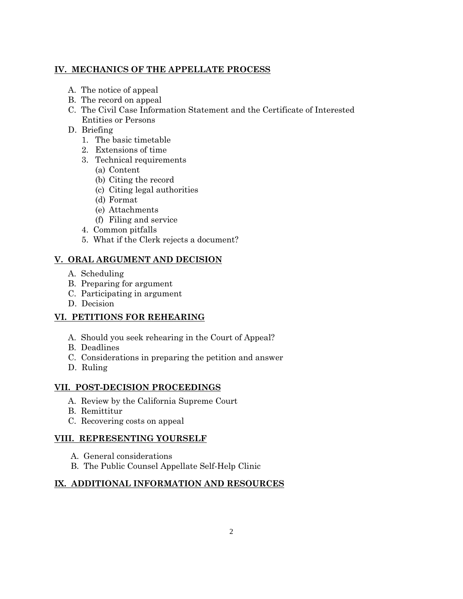## **[IV. MECHANICS OF THE APPELLATE PROCESS](http://www.lacba.org/showpage.cfm?pageid=2730#mechanics)**

- A. The notice of appeal
- B. The record on appeal
- C. The Civil Case Information Statement and the Certificate of Interested Entities or Persons
- D. Briefing
	- 1. The basic timetable
	- 2. Extensions of time
	- 3. Technical requirements
		- (a) Content
		- (b) Citing the record
		- (c) Citing legal authorities
		- (d) Format
		- (e) Attachments
		- (f) Filing and service
	- 4. Common pitfalls
	- 5. What if the Clerk rejects a document?

## **[V. ORAL ARGUMENT AND DECISION](http://www.lacba.org/showpage.cfm?pageid=2730#oral)**

- A. Scheduling
- B. Preparing for argument
- C. Participating in argument
- D. Decision

## **[VI. PETITIONS FOR REHEARING](http://www.lacba.org/showpage.cfm?pageid=2730#petitions)**

- A. Should you seek rehearing in the Court of Appeal?
- B. Deadlines
- C. Considerations in preparing the petition and answer
- D. Ruling

## **[VII. POST-DECISION PROCEEDINGS](http://www.lacba.org/showpage.cfm?pageid=2730#post)**

- A. Review by the California Supreme Court
- B. Remittitur
- C. Recovering costs on appeal

## **[VIII. REPRESENTING YOURSELF](http://www.lacba.org/showpage.cfm?pageid=2730#representing)**

- A. General considerations
- B. The Public Counsel Appellate Self-Help Clinic

## **[IX. ADDITIONAL INFORMATION AND RESOURCES](http://www.lacba.org/showpage.cfm?pageid=2730#additional)**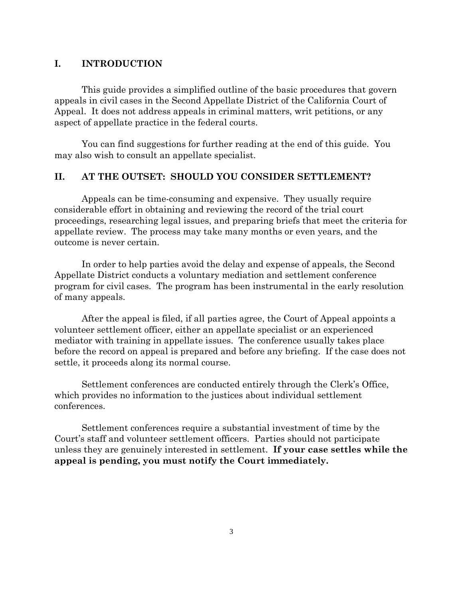## **I. INTRODUCTION**

This guide provides a simplified outline of the basic procedures that govern appeals in civil cases in the Second Appellate District of the California Court of Appeal. It does not address appeals in criminal matters, writ petitions, or any aspect of appellate practice in the federal courts.

You can find suggestions for further reading at the end of this guide. You may also wish to consult an appellate specialist.

## **II. AT THE OUTSET: SHOULD YOU CONSIDER SETTLEMENT?**

Appeals can be time-consuming and expensive. They usually require considerable effort in obtaining and reviewing the record of the trial court proceedings, researching legal issues, and preparing briefs that meet the criteria for appellate review. The process may take many months or even years, and the outcome is never certain.

In order to help parties avoid the delay and expense of appeals, the Second Appellate District conducts a voluntary mediation and settlement conference program for civil cases. The program has been instrumental in the early resolution of many appeals.

After the appeal is filed, if all parties agree, the Court of Appeal appoints a volunteer settlement officer, either an appellate specialist or an experienced mediator with training in appellate issues. The conference usually takes place before the record on appeal is prepared and before any briefing. If the case does not settle, it proceeds along its normal course.

Settlement conferences are conducted entirely through the Clerk's Office, which provides no information to the justices about individual settlement conferences.

Settlement conferences require a substantial investment of time by the Court's staff and volunteer settlement officers. Parties should not participate unless they are genuinely interested in settlement. **If your case settles while the appeal is pending, you must notify the Court immediately.**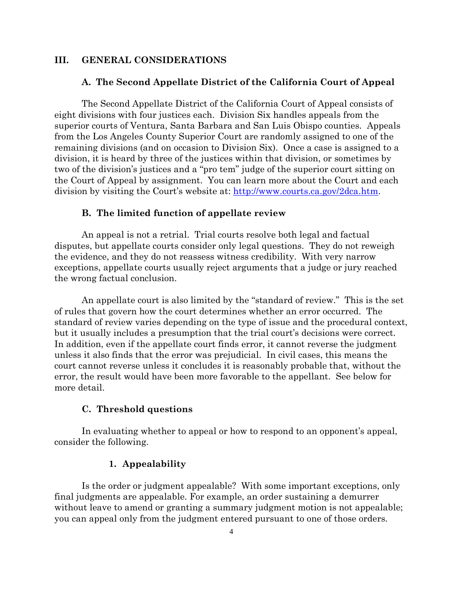## **III. GENERAL CONSIDERATIONS**

#### **A. The Second Appellate District of the California Court of Appeal**

The Second Appellate District of the California Court of Appeal consists of eight divisions with four justices each. Division Six handles appeals from the superior courts of Ventura, Santa Barbara and San Luis Obispo counties. Appeals from the Los Angeles County Superior Court are randomly assigned to one of the remaining divisions (and on occasion to Division Six). Once a case is assigned to a division, it is heard by three of the justices within that division, or sometimes by two of the division's justices and a "pro tem" judge of the superior court sitting on the Court of Appeal by assignment. You can learn more about the Court and each division by visiting the Court's website at: [http://www.courts.ca.gov/2dca.htm.](http://www.courts.ca.gov/2dca.htm)

#### **B. The limited function of appellate review**

An appeal is not a retrial. Trial courts resolve both legal and factual disputes, but appellate courts consider only legal questions. They do not reweigh the evidence, and they do not reassess witness credibility. With very narrow exceptions, appellate courts usually reject arguments that a judge or jury reached the wrong factual conclusion.

An appellate court is also limited by the "standard of review." This is the set of rules that govern how the court determines whether an error occurred. The standard of review varies depending on the type of issue and the procedural context, but it usually includes a presumption that the trial court's decisions were correct. In addition, even if the appellate court finds error, it cannot reverse the judgment unless it also finds that the error was prejudicial. In civil cases, this means the court cannot reverse unless it concludes it is reasonably probable that, without the error, the result would have been more favorable to the appellant. See below for more detail.

### **C. Threshold questions**

In evaluating whether to appeal or how to respond to an opponent's appeal, consider the following.

#### **1. Appealability**

Is the order or judgment appealable? With some important exceptions, only final judgments are appealable. For example, an order sustaining a demurrer without leave to amend or granting a summary judgment motion is not appealable; you can appeal only from the judgment entered pursuant to one of those orders.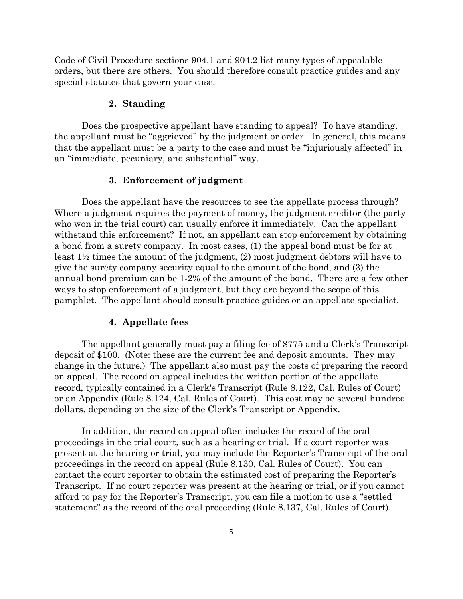Code of Civil Procedure sections 904.1 and 904.2 list many types of appealable orders, but there are others. You should therefore consult practice guides and any special statutes that govern your case.

## **2. Standing**

Does the prospective appellant have standing to appeal? To have standing, the appellant must be "aggrieved" by the judgment or order. In general, this means that the appellant must be a party to the case and must be "injuriously affected" in an "immediate, pecuniary, and substantial" way.

#### **3. Enforcement of judgment**

Does the appellant have the resources to see the appellate process through? Where a judgment requires the payment of money, the judgment creditor (the party who won in the trial court) can usually enforce it immediately. Can the appellant withstand this enforcement? If not, an appellant can stop enforcement by obtaining a bond from a surety company. In most cases, (1) the appeal bond must be for at least 1½ times the amount of the judgment, (2) most judgment debtors will have to give the surety company security equal to the amount of the bond, and (3) the annual bond premium can be 1-2% of the amount of the bond. There are a few other ways to stop enforcement of a judgment, but they are beyond the scope of this pamphlet. The appellant should consult practice guides or an appellate specialist.

#### **4. Appellate fees**

The appellant generally must pay a filing fee of \$775 and a Clerk's Transcript deposit of \$100. (Note: these are the current fee and deposit amounts. They may change in the future.) The appellant also must pay the costs of preparing the record on appeal. The record on appeal includes the written portion of the appellate record, typically contained in a Clerk's Transcript (Rule 8.122, Cal. Rules of Court) or an Appendix (Rule 8.124, Cal. Rules of Court). This cost may be several hundred dollars, depending on the size of the Clerk's Transcript or Appendix.

In addition, the record on appeal often includes the record of the oral proceedings in the trial court, such as a hearing or trial. If a court reporter was present at the hearing or trial, you may include the Reporter's Transcript of the oral proceedings in the record on appeal (Rule 8.130, Cal. Rules of Court). You can contact the court reporter to obtain the estimated cost of preparing the Reporter's Transcript. If no court reporter was present at the hearing or trial, or if you cannot afford to pay for the Reporter's Transcript, you can file a motion to use a "settled statement" as the record of the oral proceeding (Rule 8.137, Cal. Rules of Court).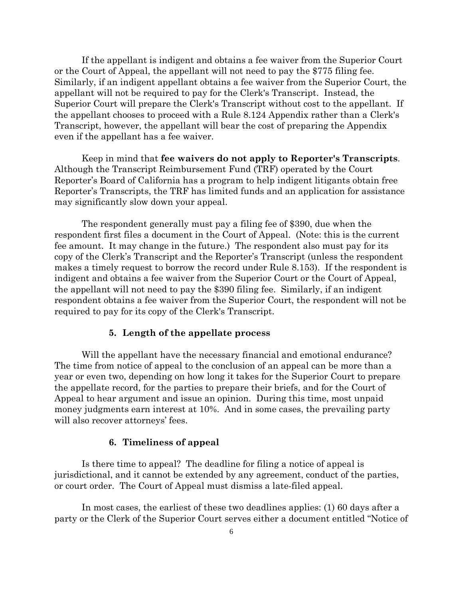If the appellant is indigent and obtains a fee waiver from the Superior Court or the Court of Appeal, the appellant will not need to pay the \$775 filing fee. Similarly, if an indigent appellant obtains a fee waiver from the Superior Court, the appellant will not be required to pay for the Clerk's Transcript. Instead, the Superior Court will prepare the Clerk's Transcript without cost to the appellant. If the appellant chooses to proceed with a Rule 8.124 Appendix rather than a Clerk's Transcript, however, the appellant will bear the cost of preparing the Appendix even if the appellant has a fee waiver.

Keep in mind that **fee waivers do not apply to Reporter's Transcripts**. Although the Transcript Reimbursement Fund (TRF) operated by the Court Reporter's Board of California has a program to help indigent litigants obtain free Reporter's Transcripts, the TRF has limited funds and an application for assistance may significantly slow down your appeal.

The respondent generally must pay a filing fee of \$390, due when the respondent first files a document in the Court of Appeal. (Note: this is the current fee amount. It may change in the future.) The respondent also must pay for its copy of the Clerk's Transcript and the Reporter's Transcript (unless the respondent makes a timely request to borrow the record under Rule 8.153). If the respondent is indigent and obtains a fee waiver from the Superior Court or the Court of Appeal, the appellant will not need to pay the \$390 filing fee. Similarly, if an indigent respondent obtains a fee waiver from the Superior Court, the respondent will not be required to pay for its copy of the Clerk's Transcript.

### **5. Length of the appellate process**

Will the appellant have the necessary financial and emotional endurance? The time from notice of appeal to the conclusion of an appeal can be more than a year or even two, depending on how long it takes for the Superior Court to prepare the appellate record, for the parties to prepare their briefs, and for the Court of Appeal to hear argument and issue an opinion. During this time, most unpaid money judgments earn interest at 10%. And in some cases, the prevailing party will also recover attorneys' fees.

#### **6. Timeliness of appeal**

Is there time to appeal? The deadline for filing a notice of appeal is jurisdictional, and it cannot be extended by any agreement, conduct of the parties, or court order. The Court of Appeal must dismiss a late-filed appeal.

In most cases, the earliest of these two deadlines applies: (1) 60 days after a party or the Clerk of the Superior Court serves either a document entitled "Notice of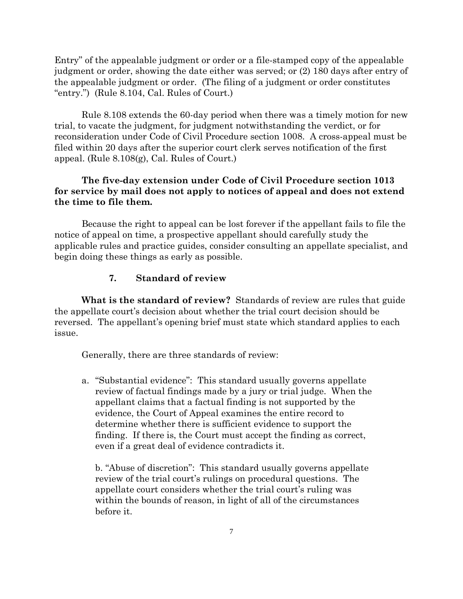Entry" of the appealable judgment or order or a file-stamped copy of the appealable judgment or order, showing the date either was served; or (2) 180 days after entry of the appealable judgment or order. (The filing of a judgment or order constitutes "entry.") (Rule 8.104, Cal. Rules of Court.)

Rule 8.108 extends the 60-day period when there was a timely motion for new trial, to vacate the judgment, for judgment notwithstanding the verdict, or for reconsideration under Code of Civil Procedure section 1008. A cross-appeal must be filed within 20 days after the superior court clerk serves notification of the first appeal. (Rule 8.108(g), Cal. Rules of Court.)

## **The five-day extension under Code of Civil Procedure section 1013 for service by mail does not apply to notices of appeal and does not extend the time to file them.**

Because the right to appeal can be lost forever if the appellant fails to file the notice of appeal on time, a prospective appellant should carefully study the applicable rules and practice guides, consider consulting an appellate specialist, and begin doing these things as early as possible.

## **7. Standard of review**

**What is the standard of review?** Standards of review are rules that guide the appellate court's decision about whether the trial court decision should be reversed. The appellant's opening brief must state which standard applies to each issue.

Generally, there are three standards of review:

a. "Substantial evidence": This standard usually governs appellate review of factual findings made by a jury or trial judge. When the appellant claims that a factual finding is not supported by the evidence, the Court of Appeal examines the entire record to determine whether there is sufficient evidence to support the finding. If there is, the Court must accept the finding as correct, even if a great deal of evidence contradicts it.

b. "Abuse of discretion": This standard usually governs appellate review of the trial court's rulings on procedural questions. The appellate court considers whether the trial court's ruling was within the bounds of reason, in light of all of the circumstances before it.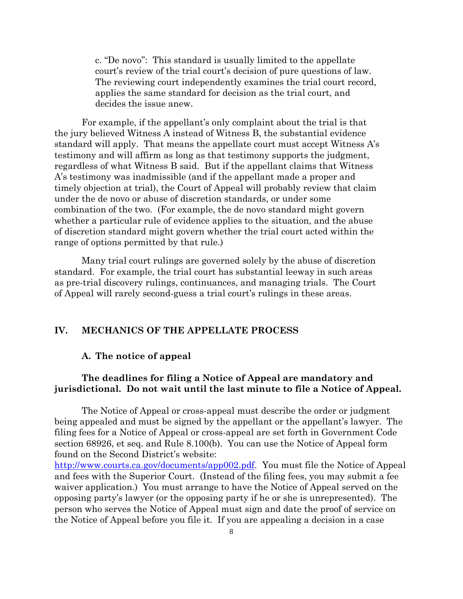c. "De novo": This standard is usually limited to the appellate court's review of the trial court's decision of pure questions of law. The reviewing court independently examines the trial court record, applies the same standard for decision as the trial court, and decides the issue anew.

For example, if the appellant's only complaint about the trial is that the jury believed Witness A instead of Witness B, the substantial evidence standard will apply. That means the appellate court must accept Witness A's testimony and will affirm as long as that testimony supports the judgment, regardless of what Witness B said. But if the appellant claims that Witness A's testimony was inadmissible (and if the appellant made a proper and timely objection at trial), the Court of Appeal will probably review that claim under the de novo or abuse of discretion standards, or under some combination of the two. (For example, the de novo standard might govern whether a particular rule of evidence applies to the situation, and the abuse of discretion standard might govern whether the trial court acted within the range of options permitted by that rule.)

Many trial court rulings are governed solely by the abuse of discretion standard. For example, the trial court has substantial leeway in such areas as pre-trial discovery rulings, continuances, and managing trials. The Court of Appeal will rarely second-guess a trial court's rulings in these areas.

## **IV. MECHANICS OF THE APPELLATE PROCESS**

### **A. The notice of appeal**

## **The deadlines for filing a Notice of Appeal are mandatory and jurisdictional. Do not wait until the last minute to file a Notice of Appeal.**

The Notice of Appeal or cross-appeal must describe the order or judgment being appealed and must be signed by the appellant or the appellant's lawyer. The filing fees for a Notice of Appeal or cross-appeal are set forth in Government Code section 68926, et seq. and Rule 8.100(b). You can use the Notice of Appeal form found on the Second District's website:

[http://www.courts.ca.gov/documents/app002.pdf.](http://www.courts.ca.gov/documents/app002.pdf) You must file the Notice of Appeal and fees with the Superior Court. (Instead of the filing fees, you may submit a fee waiver application.) You must arrange to have the Notice of Appeal served on the opposing party's lawyer (or the opposing party if he or she is unrepresented). The person who serves the Notice of Appeal must sign and date the proof of service on the Notice of Appeal before you file it. If you are appealing a decision in a case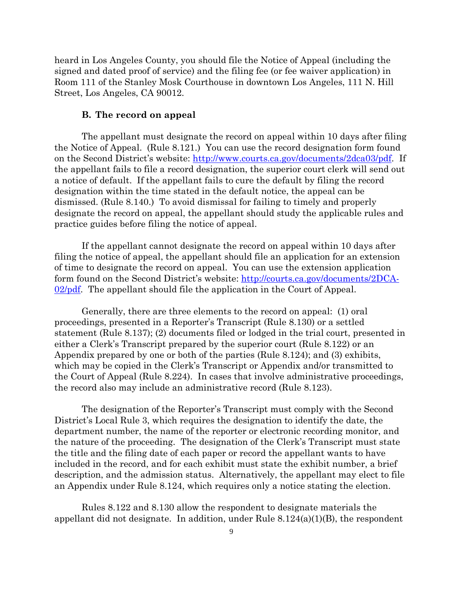heard in Los Angeles County, you should file the Notice of Appeal (including the signed and dated proof of service) and the filing fee (or fee waiver application) in Room 111 of the Stanley Mosk Courthouse in downtown Los Angeles, 111 N. Hill Street, Los Angeles, CA 90012.

#### **B. The record on appeal**

The appellant must designate the record on appeal within 10 days after filing the Notice of Appeal. (Rule 8.121.) You can use the record designation form found on the Second District's website: [http://www.courts.ca.gov/documents/2dca03/pdf.](http://www.courts.ca.gov/documents/2dca03/pdf) If the appellant fails to file a record designation, the superior court clerk will send out a notice of default. If the appellant fails to cure the default by filing the record designation within the time stated in the default notice, the appeal can be dismissed. (Rule 8.140.) To avoid dismissal for failing to timely and properly designate the record on appeal, the appellant should study the applicable rules and practice guides before filing the notice of appeal.

If the appellant cannot designate the record on appeal within 10 days after filing the notice of appeal, the appellant should file an application for an extension of time to designate the record on appeal. You can use the extension application form found on the Second District's website: [http://courts.ca.gov/documents/2DCA-](http://courts.ca.gov/documents/2DCA-02/pdf) $02$ /pdf. The appellant should file the application in the Court of Appeal.

Generally, there are three elements to the record on appeal: (1) oral proceedings, presented in a Reporter's Transcript (Rule 8.130) or a settled statement (Rule 8.137); (2) documents filed or lodged in the trial court, presented in either a Clerk's Transcript prepared by the superior court (Rule 8.122) or an Appendix prepared by one or both of the parties (Rule 8.124); and (3) exhibits, which may be copied in the Clerk's Transcript or Appendix and/or transmitted to the Court of Appeal (Rule 8.224). In cases that involve administrative proceedings, the record also may include an administrative record (Rule 8.123).

The designation of the Reporter's Transcript must comply with the Second District's Local Rule 3, which requires the designation to identify the date, the department number, the name of the reporter or electronic recording monitor, and the nature of the proceeding. The designation of the Clerk's Transcript must state the title and the filing date of each paper or record the appellant wants to have included in the record, and for each exhibit must state the exhibit number, a brief description, and the admission status. Alternatively, the appellant may elect to file an Appendix under Rule 8.124, which requires only a notice stating the election.

Rules 8.122 and 8.130 allow the respondent to designate materials the appellant did not designate. In addition, under Rule 8.124(a)(1)(B), the respondent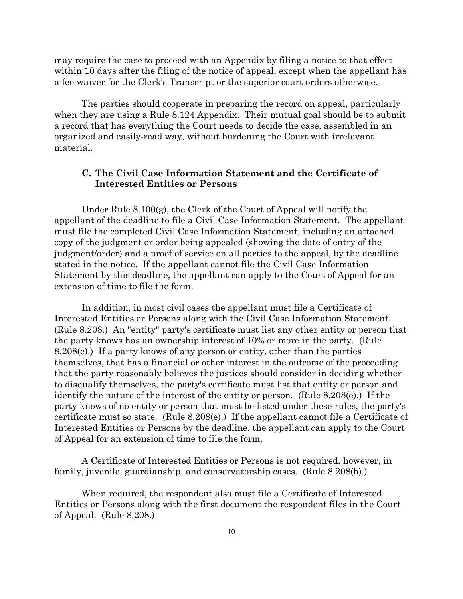may require the case to proceed with an Appendix by filing a notice to that effect within 10 days after the filing of the notice of appeal, except when the appellant has a fee waiver for the Clerk's Transcript or the superior court orders otherwise.

The parties should cooperate in preparing the record on appeal, particularly when they are using a Rule 8.124 Appendix. Their mutual goal should be to submit a record that has everything the Court needs to decide the case, assembled in an organized and easily-read way, without burdening the Court with irrelevant material.

## **C. The Civil Case Information Statement and the Certificate of Interested Entities or Persons**

Under Rule 8.100(g), the Clerk of the Court of Appeal will notify the appellant of the deadline to file a Civil Case Information Statement. The appellant must file the completed Civil Case Information Statement, including an attached copy of the judgment or order being appealed (showing the date of entry of the judgment/order) and a proof of service on all parties to the appeal, by the deadline stated in the notice. If the appellant cannot file the Civil Case Information Statement by this deadline, the appellant can apply to the Court of Appeal for an extension of time to file the form.

In addition, in most civil cases the appellant must file a Certificate of Interested Entities or Persons along with the Civil Case Information Statement. (Rule 8.208.) An "entity" party's certificate must list any other entity or person that the party knows has an ownership interest of 10% or more in the party. (Rule 8.208(e).) If a party knows of any person or entity, other than the parties themselves, that has a financial or other interest in the outcome of the proceeding that the party reasonably believes the justices should consider in deciding whether to disqualify themselves, the party's certificate must list that entity or person and identify the nature of the interest of the entity or person. (Rule 8.208(e).) If the party knows of no entity or person that must be listed under these rules, the party's certificate must so state. (Rule 8.208(e).) If the appellant cannot file a Certificate of Interested Entities or Persons by the deadline, the appellant can apply to the Court of Appeal for an extension of time to file the form.

A Certificate of Interested Entities or Persons is not required, however, in family, juvenile, guardianship, and conservatorship cases. (Rule 8.208(b).)

When required, the respondent also must file a Certificate of Interested Entities or Persons along with the first document the respondent files in the Court of Appeal. (Rule 8.208.)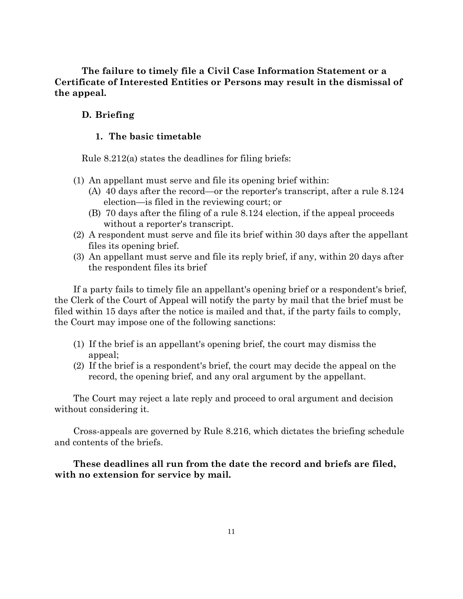**The failure to timely file a Civil Case Information Statement or a Certificate of Interested Entities or Persons may result in the dismissal of the appeal.**

## **D. Briefing**

### **1. The basic timetable**

Rule 8.212(a) states the deadlines for filing briefs:

- (1) An appellant must serve and file its opening brief within:
	- (A) 40 days after the record—or the reporter's transcript, after a rule 8.124 election—is filed in the reviewing court; or
	- (B) 70 days after the filing of a rule 8.124 election, if the appeal proceeds without a reporter's transcript.
- (2) A respondent must serve and file its brief within 30 days after the appellant files its opening brief.
- (3) An appellant must serve and file its reply brief, if any, within 20 days after the respondent files its brief

If a party fails to timely file an appellant's opening brief or a respondent's brief, the Clerk of the Court of Appeal will notify the party by mail that the brief must be filed within 15 days after the notice is mailed and that, if the party fails to comply, the Court may impose one of the following sanctions:

- (1) If the brief is an appellant's opening brief, the court may dismiss the appeal;
- (2) If the brief is a respondent's brief, the court may decide the appeal on the record, the opening brief, and any oral argument by the appellant.

The Court may reject a late reply and proceed to oral argument and decision without considering it.

Cross-appeals are governed by Rule 8.216, which dictates the briefing schedule and contents of the briefs.

## **These deadlines all run from the date the record and briefs are filed, with no extension for service by mail.**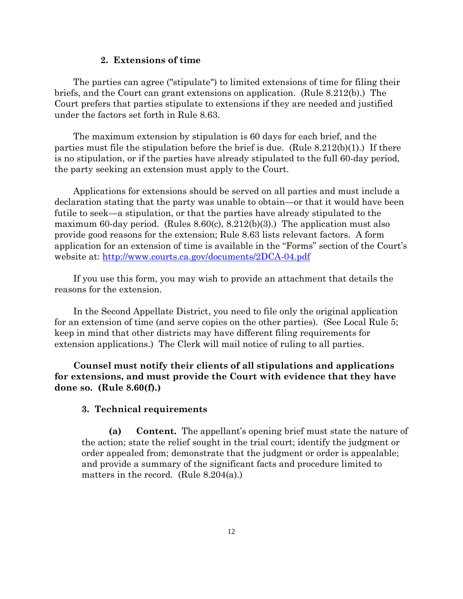#### **2. Extensions of time**

The parties can agree ("stipulate") to limited extensions of time for filing their briefs, and the Court can grant extensions on application. (Rule 8.212(b).) The Court prefers that parties stipulate to extensions if they are needed and justified under the factors set forth in Rule 8.63.

The maximum extension by stipulation is 60 days for each brief, and the parties must file the stipulation before the brief is due. (Rule  $8.212(b)(1)$ .) If there is no stipulation, or if the parties have already stipulated to the full 60-day period, the party seeking an extension must apply to the Court.

Applications for extensions should be served on all parties and must include a declaration stating that the party was unable to obtain—or that it would have been futile to seek—a stipulation, or that the parties have already stipulated to the maximum 60-day period. (Rules 8.60(c), 8.212(b)(3).) The application must also provide good reasons for the extension; Rule 8.63 lists relevant factors. A form application for an extension of time is available in the "Forms" section of the Court's website at:<http://www.courts.ca.gov/documents/2DCA-04.pdf>

If you use this form, you may wish to provide an attachment that details the reasons for the extension.

In the Second Appellate District, you need to file only the original application for an extension of time (and serve copies on the other parties). (See Local Rule 5; keep in mind that other districts may have different filing requirements for extension applications.) The Clerk will mail notice of ruling to all parties.

**Counsel must notify their clients of all stipulations and applications for extensions, and must provide the Court with evidence that they have done so. (Rule 8.60(f).)**

#### **3. Technical requirements**

**(a) Content.** The appellant's opening brief must state the nature of the action; state the relief sought in the trial court; identify the judgment or order appealed from; demonstrate that the judgment or order is appealable; and provide a summary of the significant facts and procedure limited to matters in the record. (Rule 8.204(a).)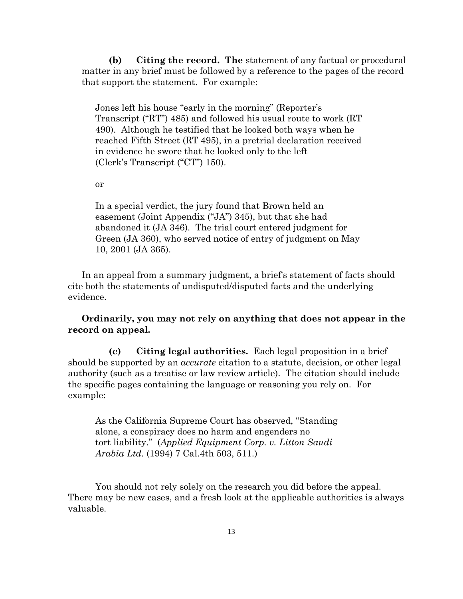**(b) Citing the record. The** statement of any factual or procedural matter in any brief must be followed by a reference to the pages of the record that support the statement. For example:

Jones left his house "early in the morning" (Reporter's Transcript ("RT") 485) and followed his usual route to work (RT 490). Although he testified that he looked both ways when he reached Fifth Street (RT 495), in a pretrial declaration received in evidence he swore that he looked only to the left (Clerk's Transcript ("CT") 150).

or

In a special verdict, the jury found that Brown held an easement (Joint Appendix ("JA") 345), but that she had abandoned it (JA 346). The trial court entered judgment for Green (JA 360), who served notice of entry of judgment on May 10, 2001 (JA 365).

In an appeal from a summary judgment, a brief's statement of facts should cite both the statements of undisputed/disputed facts and the underlying evidence.

## **Ordinarily, you may not rely on anything that does not appear in the record on appeal.**

**(c) Citing legal authorities.** Each legal proposition in a brief should be supported by an *accurate* citation to a statute, decision, or other legal authority (such as a treatise or law review article). The citation should include the specific pages containing the language or reasoning you rely on. For example:

As the California Supreme Court has observed, "Standing alone, a conspiracy does no harm and engenders no tort liability." (*Applied Equipment Corp. v. Litton Saudi Arabia Ltd.* (1994) 7 Cal.4th 503, 511.)

You should not rely solely on the research you did before the appeal. There may be new cases, and a fresh look at the applicable authorities is always valuable.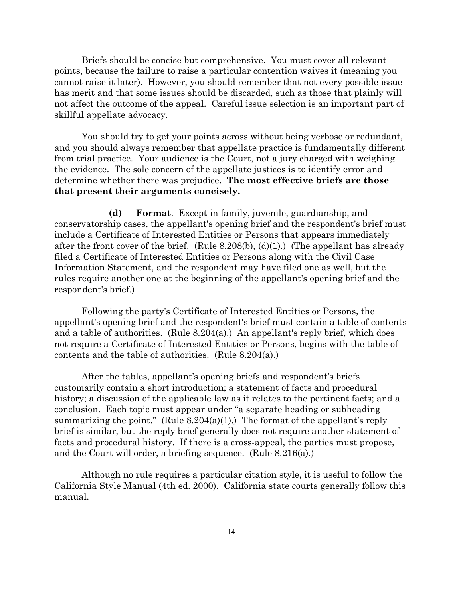Briefs should be concise but comprehensive. You must cover all relevant points, because the failure to raise a particular contention waives it (meaning you cannot raise it later). However, you should remember that not every possible issue has merit and that some issues should be discarded, such as those that plainly will not affect the outcome of the appeal. Careful issue selection is an important part of skillful appellate advocacy.

You should try to get your points across without being verbose or redundant, and you should always remember that appellate practice is fundamentally different from trial practice. Your audience is the Court, not a jury charged with weighing the evidence. The sole concern of the appellate justices is to identify error and determine whether there was prejudice. **The most effective briefs are those that present their arguments concisely.**

**(d) Format**. Except in family, juvenile, guardianship, and conservatorship cases, the appellant's opening brief and the respondent's brief must include a Certificate of Interested Entities or Persons that appears immediately after the front cover of the brief. (Rule 8.208(b),  $(d)(1)$ .) (The appellant has already filed a Certificate of Interested Entities or Persons along with the Civil Case Information Statement, and the respondent may have filed one as well, but the rules require another one at the beginning of the appellant's opening brief and the respondent's brief.)

Following the party's Certificate of Interested Entities or Persons, the appellant's opening brief and the respondent's brief must contain a table of contents and a table of authorities. (Rule  $8.204(a)$ .) An appellant's reply brief, which does not require a Certificate of Interested Entities or Persons, begins with the table of contents and the table of authorities. (Rule 8.204(a).)

After the tables, appellant's opening briefs and respondent's briefs customarily contain a short introduction; a statement of facts and procedural history; a discussion of the applicable law as it relates to the pertinent facts; and a conclusion. Each topic must appear under "a separate heading or subheading summarizing the point." (Rule  $8.204(a)(1)$ .) The format of the appellant's reply brief is similar, but the reply brief generally does not require another statement of facts and procedural history. If there is a cross-appeal, the parties must propose, and the Court will order, a briefing sequence. (Rule 8.216(a).)

Although no rule requires a particular citation style, it is useful to follow the California Style Manual (4th ed. 2000). California state courts generally follow this manual.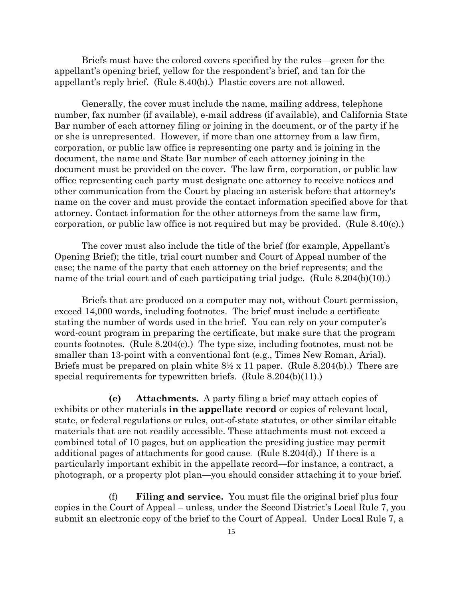Briefs must have the colored covers specified by the rules—green for the appellant's opening brief, yellow for the respondent's brief, and tan for the appellant's reply brief. (Rule 8.40(b).) Plastic covers are not allowed.

Generally, the cover must include the name, mailing address, telephone number, fax number (if available), e-mail address (if available), and California State Bar number of each attorney filing or joining in the document, or of the party if he or she is unrepresented. However, if more than one attorney from a law firm, corporation, or public law office is representing one party and is joining in the document, the name and State Bar number of each attorney joining in the document must be provided on the cover. The law firm, corporation, or public law office representing each party must designate one attorney to receive notices and other communication from the Court by placing an asterisk before that attorney's name on the cover and must provide the contact information specified above for that attorney. Contact information for the other attorneys from the same law firm, corporation, or public law office is not required but may be provided. (Rule 8.40(c).)

The cover must also include the title of the brief (for example, Appellant's Opening Brief); the title, trial court number and Court of Appeal number of the case; the name of the party that each attorney on the brief represents; and the name of the trial court and of each participating trial judge. (Rule 8.204(b)(10).)

Briefs that are produced on a computer may not, without Court permission, exceed 14,000 words, including footnotes. The brief must include a certificate stating the number of words used in the brief. You can rely on your computer's word-count program in preparing the certificate, but make sure that the program counts footnotes. (Rule  $8.204(c)$ .) The type size, including footnotes, must not be smaller than 13-point with a conventional font (e.g., Times New Roman, Arial). Briefs must be prepared on plain white  $8\frac{1}{2} \times 11$  paper. (Rule 8.204(b).) There are special requirements for typewritten briefs. (Rule 8.204(b)(11).)

**(e) Attachments.** A party filing a brief may attach copies of exhibits or other materials **in the appellate record** or copies of relevant local, state, or federal regulations or rules, out-of-state statutes, or other similar citable materials that are not readily accessible. These attachments must not exceed a combined total of 10 pages, but on application the presiding justice may permit additional pages of attachments for good cause. (Rule 8.204(d).) If there is a particularly important exhibit in the appellate record—for instance, a contract, a photograph, or a property plot plan—you should consider attaching it to your brief.

(f) **Filing and service.** You must file the original brief plus four copies in the Court of Appeal – unless, under the Second District's Local Rule 7, you submit an electronic copy of the brief to the Court of Appeal. Under Local Rule 7, a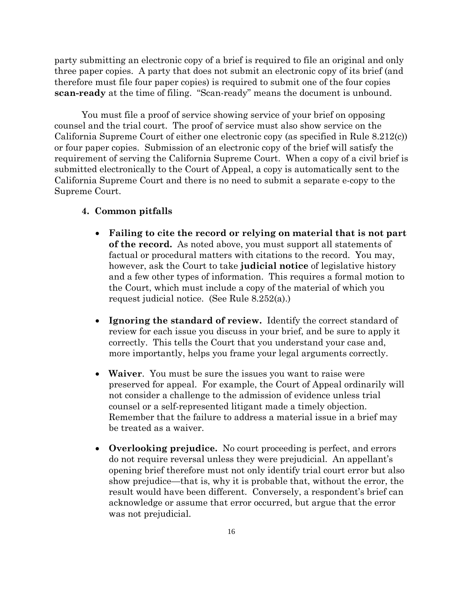party submitting an electronic copy of a brief is required to file an original and only three paper copies. A party that does not submit an electronic copy of its brief (and therefore must file four paper copies) is required to submit one of the four copies **scan-ready** at the time of filing. "Scan-ready" means the document is unbound.

You must file a proof of service showing service of your brief on opposing counsel and the trial court. The proof of service must also show service on the California Supreme Court of either one electronic copy (as specified in Rule 8.212(c)) or four paper copies. Submission of an electronic copy of the brief will satisfy the requirement of serving the California Supreme Court. When a copy of a civil brief is submitted electronically to the Court of Appeal, a copy is automatically sent to the California Supreme Court and there is no need to submit a separate e-copy to the Supreme Court.

### **4. Common pitfalls**

- **Failing to cite the record or relying on material that is not part of the record.** As noted above, you must support all statements of factual or procedural matters with citations to the record. You may, however, ask the Court to take **judicial notice** of legislative history and a few other types of information. This requires a formal motion to the Court, which must include a copy of the material of which you request judicial notice. (See Rule 8.252(a).)
- **Ignoring the standard of review.** Identify the correct standard of review for each issue you discuss in your brief, and be sure to apply it correctly. This tells the Court that you understand your case and, more importantly, helps you frame your legal arguments correctly.
- **Waiver**. You must be sure the issues you want to raise were preserved for appeal. For example, the Court of Appeal ordinarily will not consider a challenge to the admission of evidence unless trial counsel or a self-represented litigant made a timely objection. Remember that the failure to address a material issue in a brief may be treated as a waiver.
- **Overlooking prejudice.** No court proceeding is perfect, and errors do not require reversal unless they were prejudicial. An appellant's opening brief therefore must not only identify trial court error but also show prejudice—that is, why it is probable that, without the error, the result would have been different. Conversely, a respondent's brief can acknowledge or assume that error occurred, but argue that the error was not prejudicial.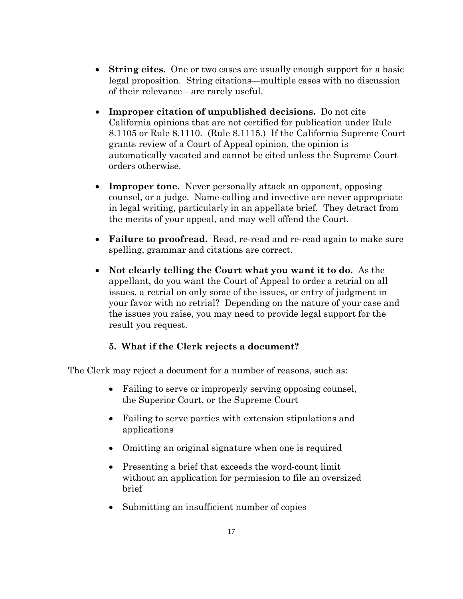- **String cites.** One or two cases are usually enough support for a basic legal proposition. String citations—multiple cases with no discussion of their relevance—are rarely useful.
- **Improper citation of unpublished decisions.** Do not cite California opinions that are not certified for publication under Rule 8.1105 or Rule 8.1110. (Rule 8.1115.) If the California Supreme Court grants review of a Court of Appeal opinion, the opinion is automatically vacated and cannot be cited unless the Supreme Court orders otherwise.
- **Improper tone.** Never personally attack an opponent, opposing counsel, or a judge. Name-calling and invective are never appropriate in legal writing, particularly in an appellate brief. They detract from the merits of your appeal, and may well offend the Court.
- **Failure to proofread.** Read, re-read and re-read again to make sure spelling, grammar and citations are correct.
- **Not clearly telling the Court what you want it to do.** As the appellant, do you want the Court of Appeal to order a retrial on all issues, a retrial on only some of the issues, or entry of judgment in your favor with no retrial? Depending on the nature of your case and the issues you raise, you may need to provide legal support for the result you request.

## **5. What if the Clerk rejects a document?**

The Clerk may reject a document for a number of reasons, such as:

- Failing to serve or improperly serving opposing counsel, the Superior Court, or the Supreme Court
- Failing to serve parties with extension stipulations and applications
- Omitting an original signature when one is required
- Presenting a brief that exceeds the word-count limit without an application for permission to file an oversized brief
- Submitting an insufficient number of copies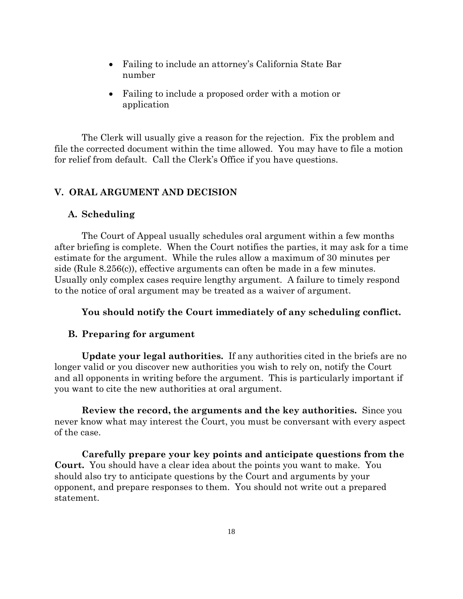- Failing to include an attorney's California State Bar number
- Failing to include a proposed order with a motion or application

The Clerk will usually give a reason for the rejection. Fix the problem and file the corrected document within the time allowed. You may have to file a motion for relief from default. Call the Clerk's Office if you have questions.

## **V. ORAL ARGUMENT AND DECISION**

#### **A. Scheduling**

The Court of Appeal usually schedules oral argument within a few months after briefing is complete. When the Court notifies the parties, it may ask for a time estimate for the argument. While the rules allow a maximum of 30 minutes per side (Rule 8.256(c)), effective arguments can often be made in a few minutes. Usually only complex cases require lengthy argument. A failure to timely respond to the notice of oral argument may be treated as a waiver of argument.

## **You should notify the Court immediately of any scheduling conflict.**

#### **B. Preparing for argument**

**Update your legal authorities.** If any authorities cited in the briefs are no longer valid or you discover new authorities you wish to rely on, notify the Court and all opponents in writing before the argument. This is particularly important if you want to cite the new authorities at oral argument.

**Review the record, the arguments and the key authorities.** Since you never know what may interest the Court, you must be conversant with every aspect of the case.

**Carefully prepare your key points and anticipate questions from the Court.** You should have a clear idea about the points you want to make. You should also try to anticipate questions by the Court and arguments by your opponent, and prepare responses to them. You should not write out a prepared statement.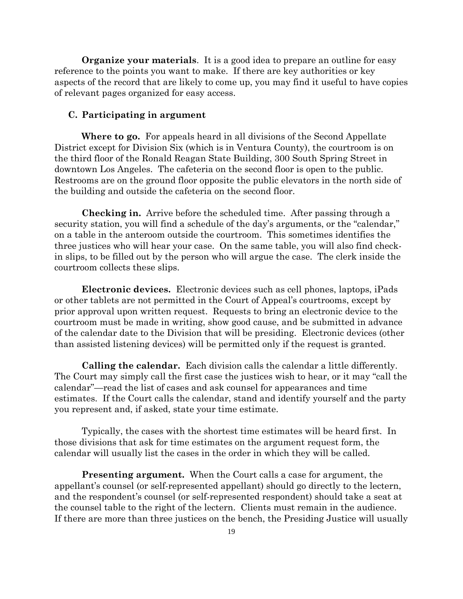**Organize your materials**. It is a good idea to prepare an outline for easy reference to the points you want to make. If there are key authorities or key aspects of the record that are likely to come up, you may find it useful to have copies of relevant pages organized for easy access.

#### **C. Participating in argument**

**Where to go.** For appeals heard in all divisions of the Second Appellate District except for Division Six (which is in Ventura County), the courtroom is on the third floor of the Ronald Reagan State Building, 300 South Spring Street in downtown Los Angeles. The cafeteria on the second floor is open to the public. Restrooms are on the ground floor opposite the public elevators in the north side of the building and outside the cafeteria on the second floor.

**Checking in.** Arrive before the scheduled time. After passing through a security station, you will find a schedule of the day's arguments, or the "calendar," on a table in the anteroom outside the courtroom. This sometimes identifies the three justices who will hear your case. On the same table, you will also find checkin slips, to be filled out by the person who will argue the case. The clerk inside the courtroom collects these slips.

**Electronic devices.** Electronic devices such as cell phones, laptops, iPads or other tablets are not permitted in the Court of Appeal's courtrooms, except by prior approval upon written request. Requests to bring an electronic device to the courtroom must be made in writing, show good cause, and be submitted in advance of the calendar date to the Division that will be presiding. Electronic devices (other than assisted listening devices) will be permitted only if the request is granted.

**Calling the calendar.** Each division calls the calendar a little differently. The Court may simply call the first case the justices wish to hear, or it may "call the calendar"—read the list of cases and ask counsel for appearances and time estimates. If the Court calls the calendar, stand and identify yourself and the party you represent and, if asked, state your time estimate.

Typically, the cases with the shortest time estimates will be heard first. In those divisions that ask for time estimates on the argument request form, the calendar will usually list the cases in the order in which they will be called.

**Presenting argument.** When the Court calls a case for argument, the appellant's counsel (or self-represented appellant) should go directly to the lectern, and the respondent's counsel (or self-represented respondent) should take a seat at the counsel table to the right of the lectern. Clients must remain in the audience. If there are more than three justices on the bench, the Presiding Justice will usually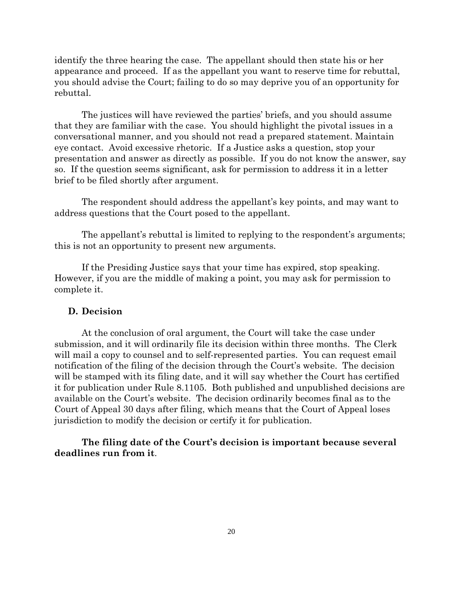identify the three hearing the case. The appellant should then state his or her appearance and proceed. If as the appellant you want to reserve time for rebuttal, you should advise the Court; failing to do so may deprive you of an opportunity for rebuttal.

The justices will have reviewed the parties' briefs, and you should assume that they are familiar with the case. You should highlight the pivotal issues in a conversational manner, and you should not read a prepared statement. Maintain eye contact. Avoid excessive rhetoric. If a Justice asks a question, stop your presentation and answer as directly as possible. If you do not know the answer, say so. If the question seems significant, ask for permission to address it in a letter brief to be filed shortly after argument.

The respondent should address the appellant's key points, and may want to address questions that the Court posed to the appellant.

The appellant's rebuttal is limited to replying to the respondent's arguments; this is not an opportunity to present new arguments.

If the Presiding Justice says that your time has expired, stop speaking. However, if you are the middle of making a point, you may ask for permission to complete it.

#### **D. Decision**

At the conclusion of oral argument, the Court will take the case under submission, and it will ordinarily file its decision within three months. The Clerk will mail a copy to counsel and to self-represented parties. You can request email notification of the filing of the decision through the Court's website. The decision will be stamped with its filing date, and it will say whether the Court has certified it for publication under Rule 8.1105. Both published and unpublished decisions are available on the Court's website. The decision ordinarily becomes final as to the Court of Appeal 30 days after filing, which means that the Court of Appeal loses jurisdiction to modify the decision or certify it for publication.

**The filing date of the Court's decision is important because several deadlines run from it**.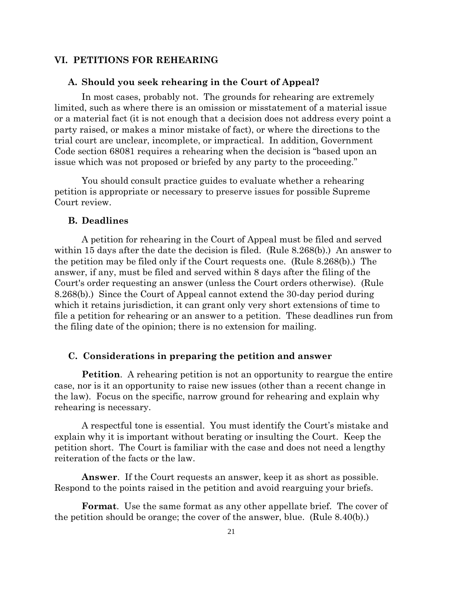#### **VI. PETITIONS FOR REHEARING**

#### **A. Should you seek rehearing in the Court of Appeal?**

In most cases, probably not. The grounds for rehearing are extremely limited, such as where there is an omission or misstatement of a material issue or a material fact (it is not enough that a decision does not address every point a party raised, or makes a minor mistake of fact), or where the directions to the trial court are unclear, incomplete, or impractical. In addition, Government Code section 68081 requires a rehearing when the decision is "based upon an issue which was not proposed or briefed by any party to the proceeding."

You should consult practice guides to evaluate whether a rehearing petition is appropriate or necessary to preserve issues for possible Supreme Court review.

### **B. Deadlines**

A petition for rehearing in the Court of Appeal must be filed and served within 15 days after the date the decision is filed. (Rule 8.268(b).) An answer to the petition may be filed only if the Court requests one. (Rule 8.268(b).) The answer, if any, must be filed and served within 8 days after the filing of the Court's order requesting an answer (unless the Court orders otherwise). (Rule 8.268(b).) Since the Court of Appeal cannot extend the 30-day period during which it retains jurisdiction, it can grant only very short extensions of time to file a petition for rehearing or an answer to a petition. These deadlines run from the filing date of the opinion; there is no extension for mailing.

#### **C. Considerations in preparing the petition and answer**

**Petition.** A rehearing petition is not an opportunity to reargue the entire case, nor is it an opportunity to raise new issues (other than a recent change in the law). Focus on the specific, narrow ground for rehearing and explain why rehearing is necessary.

A respectful tone is essential. You must identify the Court's mistake and explain why it is important without berating or insulting the Court. Keep the petition short. The Court is familiar with the case and does not need a lengthy reiteration of the facts or the law.

**Answer**. If the Court requests an answer, keep it as short as possible. Respond to the points raised in the petition and avoid rearguing your briefs.

**Format**. Use the same format as any other appellate brief. The cover of the petition should be orange; the cover of the answer, blue. (Rule 8.40(b).)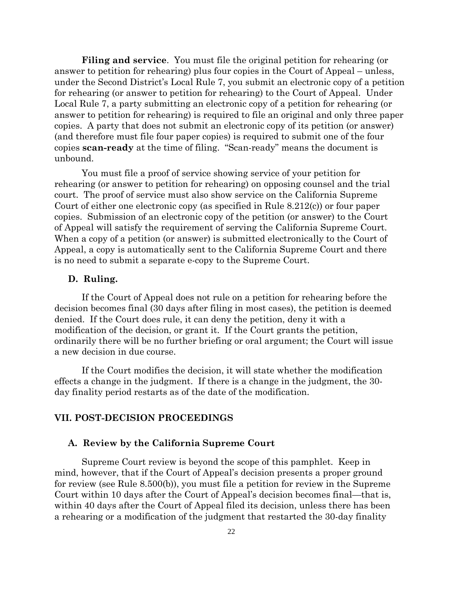**Filing and service**. You must file the original petition for rehearing (or answer to petition for rehearing) plus four copies in the Court of Appeal – unless, under the Second District's Local Rule 7, you submit an electronic copy of a petition for rehearing (or answer to petition for rehearing) to the Court of Appeal. Under Local Rule 7, a party submitting an electronic copy of a petition for rehearing (or answer to petition for rehearing) is required to file an original and only three paper copies. A party that does not submit an electronic copy of its petition (or answer) (and therefore must file four paper copies) is required to submit one of the four copies **scan-ready** at the time of filing. "Scan-ready" means the document is unbound.

You must file a proof of service showing service of your petition for rehearing (or answer to petition for rehearing) on opposing counsel and the trial court. The proof of service must also show service on the California Supreme Court of either one electronic copy (as specified in Rule 8.212(c)) or four paper copies. Submission of an electronic copy of the petition (or answer) to the Court of Appeal will satisfy the requirement of serving the California Supreme Court. When a copy of a petition (or answer) is submitted electronically to the Court of Appeal, a copy is automatically sent to the California Supreme Court and there is no need to submit a separate e-copy to the Supreme Court.

### **D. Ruling.**

If the Court of Appeal does not rule on a petition for rehearing before the decision becomes final (30 days after filing in most cases), the petition is deemed denied. If the Court does rule, it can deny the petition, deny it with a modification of the decision, or grant it. If the Court grants the petition, ordinarily there will be no further briefing or oral argument; the Court will issue a new decision in due course.

If the Court modifies the decision, it will state whether the modification effects a change in the judgment. If there is a change in the judgment, the 30 day finality period restarts as of the date of the modification.

### **VII. POST-DECISION PROCEEDINGS**

#### **A. Review by the California Supreme Court**

Supreme Court review is beyond the scope of this pamphlet. Keep in mind, however, that if the Court of Appeal's decision presents a proper ground for review (see Rule 8.500(b)), you must file a petition for review in the Supreme Court within 10 days after the Court of Appeal's decision becomes final—that is, within 40 days after the Court of Appeal filed its decision, unless there has been a rehearing or a modification of the judgment that restarted the 30-day finality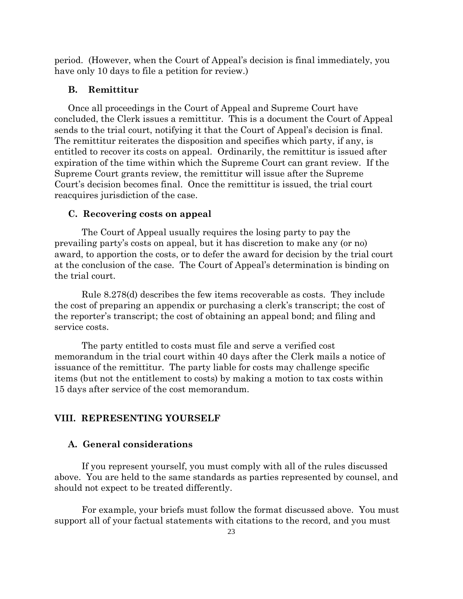period. (However, when the Court of Appeal's decision is final immediately, you have only 10 days to file a petition for review.)

### **B. Remittitur**

Once all proceedings in the Court of Appeal and Supreme Court have concluded, the Clerk issues a remittitur. This is a document the Court of Appeal sends to the trial court, notifying it that the Court of Appeal's decision is final. The remittitur reiterates the disposition and specifies which party, if any, is entitled to recover its costs on appeal. Ordinarily, the remittitur is issued after expiration of the time within which the Supreme Court can grant review. If the Supreme Court grants review, the remittitur will issue after the Supreme Court's decision becomes final. Once the remittitur is issued, the trial court reacquires jurisdiction of the case.

### **C. Recovering costs on appeal**

The Court of Appeal usually requires the losing party to pay the prevailing party's costs on appeal, but it has discretion to make any (or no) award, to apportion the costs, or to defer the award for decision by the trial court at the conclusion of the case. The Court of Appeal's determination is binding on the trial court.

Rule 8.278(d) describes the few items recoverable as costs. They include the cost of preparing an appendix or purchasing a clerk's transcript; the cost of the reporter's transcript; the cost of obtaining an appeal bond; and filing and service costs.

The party entitled to costs must file and serve a verified cost memorandum in the trial court within 40 days after the Clerk mails a notice of issuance of the remittitur. The party liable for costs may challenge specific items (but not the entitlement to costs) by making a motion to tax costs within 15 days after service of the cost memorandum.

#### **VIII. REPRESENTING YOURSELF**

### **A. General considerations**

If you represent yourself, you must comply with all of the rules discussed above. You are held to the same standards as parties represented by counsel, and should not expect to be treated differently.

For example, your briefs must follow the format discussed above. You must support all of your factual statements with citations to the record, and you must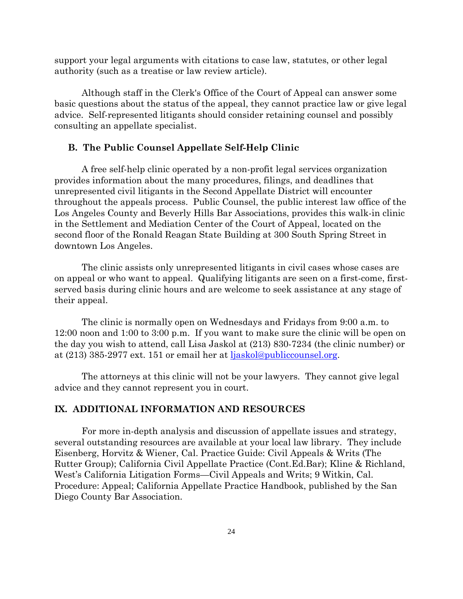support your legal arguments with citations to case law, statutes, or other legal authority (such as a treatise or law review article).

Although staff in the Clerk's Office of the Court of Appeal can answer some basic questions about the status of the appeal, they cannot practice law or give legal advice. Self-represented litigants should consider retaining counsel and possibly consulting an appellate specialist.

#### **B. The Public Counsel Appellate Self-Help Clinic**

A free self-help clinic operated by a non-profit legal services organization provides information about the many procedures, filings, and deadlines that unrepresented civil litigants in the Second Appellate District will encounter throughout the appeals process. Public Counsel, the public interest law office of the Los Angeles County and Beverly Hills Bar Associations, provides this walk-in clinic in the Settlement and Mediation Center of the Court of Appeal, located on the second floor of the Ronald Reagan State Building at 300 South Spring Street in downtown Los Angeles.

The clinic assists only unrepresented litigants in civil cases whose cases are on appeal or who want to appeal. Qualifying litigants are seen on a first-come, firstserved basis during clinic hours and are welcome to seek assistance at any stage of their appeal.

The clinic is normally open on Wednesdays and Fridays from 9:00 a.m. to 12:00 noon and 1:00 to 3:00 p.m. If you want to make sure the clinic will be open on the day you wish to attend, call Lisa Jaskol at (213) 830-7234 (the clinic number) or at (213) 385-2977 ext. 151 or email her at [ljaskol@publiccounsel.org.](mailto:ljaskol@publiccounsel.org)

The attorneys at this clinic will not be your lawyers. They cannot give legal advice and they cannot represent you in court.

## **IX. ADDITIONAL INFORMATION AND RESOURCES**

For more in-depth analysis and discussion of appellate issues and strategy, several outstanding resources are available at your local law library. They include Eisenberg, Horvitz & Wiener, Cal. Practice Guide: Civil Appeals & Writs (The Rutter Group); California Civil Appellate Practice (Cont.Ed.Bar); Kline & Richland, West's California Litigation Forms—Civil Appeals and Writs; 9 Witkin, Cal. Procedure: Appeal; California Appellate Practice Handbook, published by the San Diego County Bar Association.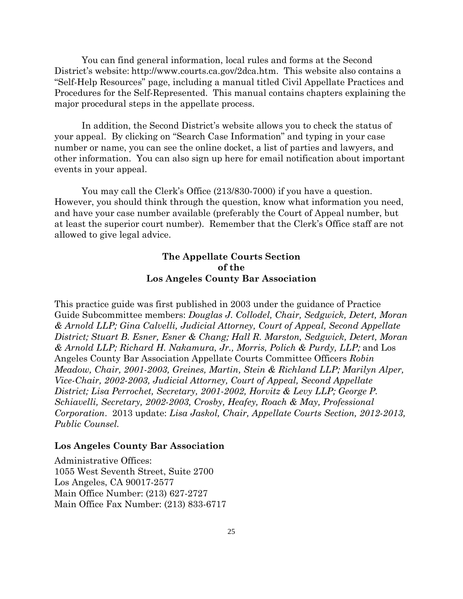You can find general information, local rules and forms at the Second District's website: http://www.courts.ca.gov/2dca.htm. This website also contains a "Self-Help Resources" page, including a manual titled Civil Appellate Practices and Procedures for the Self-Represented. This manual contains chapters explaining the major procedural steps in the appellate process.

In addition, the Second District's website allows you to check the status of your appeal. By clicking on "Search Case Information" and typing in your case number or name, you can see the online docket, a list of parties and lawyers, and other information. You can also sign up here for email notification about important events in your appeal.

You may call the Clerk's Office (213/830-7000) if you have a question. However, you should think through the question, know what information you need, and have your case number available (preferably the Court of Appeal number, but at least the superior court number). Remember that the Clerk's Office staff are not allowed to give legal advice.

## **The Appellate Courts Section of the Los Angeles County Bar Association**

This practice guide was first published in 2003 under the guidance of Practice Guide Subcommittee members: *Douglas J. Collodel, Chair, Sedgwick, Detert, Moran & Arnold LLP; Gina Calvelli, Judicial Attorney, Court of Appeal, Second Appellate District; Stuart B. Esner, Esner & Chang; Hall R. Marston, Sedgwick, Detert, Moran & Arnold LLP; Richard H. Nakamura, Jr., Morris, Polich & Purdy, LLP;* and Los Angeles County Bar Association Appellate Courts Committee Officers *Robin Meadow, Chair, 2001-2003, Greines, Martin, Stein & Richland LLP; Marilyn Alper, Vice-Chair, 2002-2003, Judicial Attorney, Court of Appeal, Second Appellate District; Lisa Perrochet, Secretary, 2001-2002, Horvitz & Levy LLP; George P. Schiavelli, Secretary, 2002-2003, Crosby, Heafey, Roach & May, Professional Corporation*. 2013 update: *Lisa Jaskol, Chair, Appellate Courts Section, 2012-2013, Public Counsel.*

#### **Los Angeles County Bar Association**

Administrative Offices: 1055 West Seventh Street, Suite 2700 Los Angeles, CA 90017-2577 Main Office Number: (213) 627-2727 Main Office Fax Number: (213) 833-6717